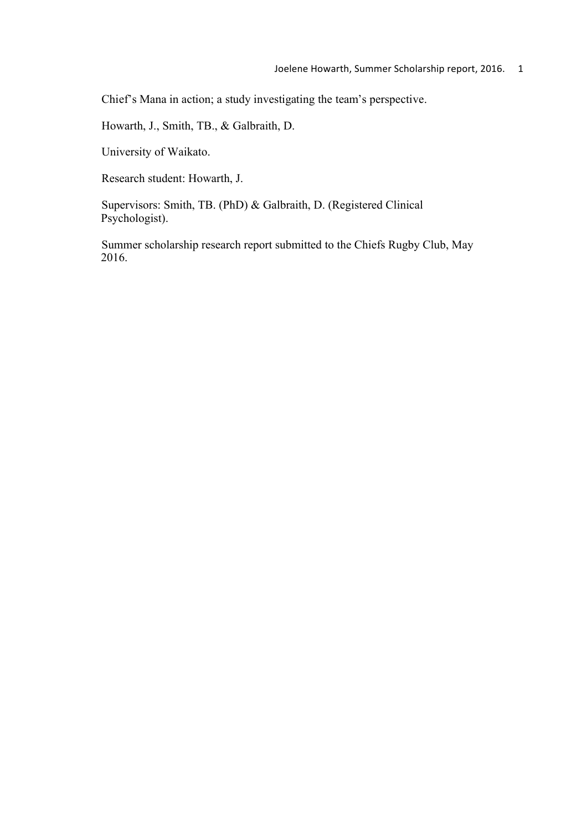Chief's Mana in action; a study investigating the team's perspective.

Howarth, J., Smith, TB., & Galbraith, D.

University of Waikato.

Research student: Howarth, J.

Supervisors: Smith, TB. (PhD) & Galbraith, D. (Registered Clinical Psychologist).

Summer scholarship research report submitted to the Chiefs Rugby Club, May 2016.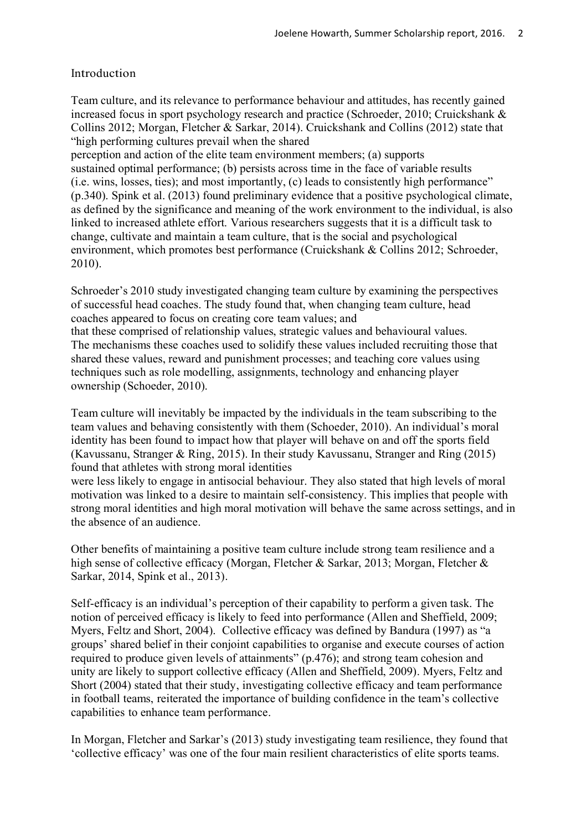# Introduction

Team culture, and its relevance to performance behaviour and attitudes, has recently gained increased focus in sport psychology research and practice (Schroeder, 2010; Cruickshank & Collins 2012; Morgan, Fletcher & Sarkar, 2014). Cruickshank and Collins (2012) state that "high performing cultures prevail when the shared

perception and action of the elite team environment members; (a) supports sustained optimal performance; (b) persists across time in the face of variable results (i.e. wins, losses, ties); and most importantly, (c) leads to consistently high performance" (p.340). Spink et al. (2013) found preliminary evidence that a positive psychological climate, as defined by the significance and meaning of the work environment to the individual, is also linked to increased athlete effort. Various researchers suggests that it is a difficult task to change, cultivate and maintain a team culture, that is the social and psychological environment, which promotes best performance (Cruickshank & Collins 2012; Schroeder, 2010).

Schroeder's 2010 study investigated changing team culture by examining the perspectives of successful head coaches. The study found that, when changing team culture, head coaches appeared to focus on creating core team values; and that these comprised of relationship values, strategic values and behavioural values. The mechanisms these coaches used to solidify these values included recruiting those that shared these values, reward and punishment processes; and teaching core values using

techniques such as role modelling, assignments, technology and enhancing player ownership (Schoeder, 2010).

Team culture will inevitably be impacted by the individuals in the team subscribing to the team values and behaving consistently with them (Schoeder, 2010). An individual's moral identity has been found to impact how that player will behave on and off the sports field (Kavussanu, Stranger & Ring, 2015). In their study Kavussanu, Stranger and Ring (2015) found that athletes with strong moral identities

were less likely to engage in antisocial behaviour. They also stated that high levels of moral motivation was linked to a desire to maintain self-consistency. This implies that people with strong moral identities and high moral motivation will behave the same across settings, and in the absence of an audience.

Other benefits of maintaining a positive team culture include strong team resilience and a high sense of collective efficacy (Morgan, Fletcher & Sarkar, 2013; Morgan, Fletcher & Sarkar, 2014, Spink et al., 2013).

Self-efficacy is an individual's perception of their capability to perform a given task. The notion of perceived efficacy is likely to feed into performance (Allen and Sheffield, 2009; Myers, Feltz and Short, 2004). Collective efficacy was defined by Bandura (1997) as "a groups' shared belief in their conjoint capabilities to organise and execute courses of action required to produce given levels of attainments" (p.476); and strong team cohesion and unity are likely to support collective efficacy (Allen and Sheffield, 2009). Myers, Feltz and Short (2004) stated that their study, investigating collective efficacy and team performance in football teams, reiterated the importance of building confidence in the team's collective capabilities to enhance team performance.

In Morgan, Fletcher and Sarkar's (2013) study investigating team resilience, they found that 'collective efficacy' was one of the four main resilient characteristics of elite sports teams.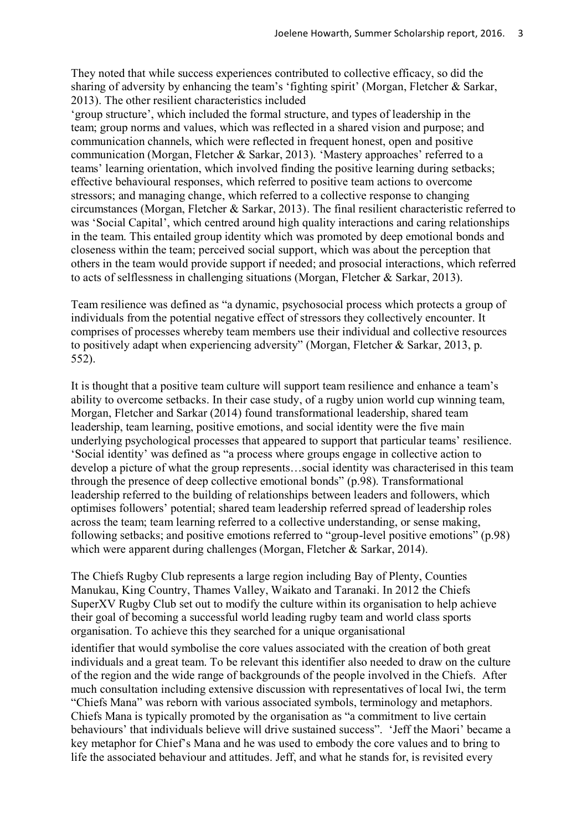They noted that while success experiences contributed to collective efficacy, so did the sharing of adversity by enhancing the team's 'fighting spirit' (Morgan, Fletcher & Sarkar, 2013). The other resilient characteristics included

'group structure', which included the formal structure, and types of leadership in the team; group norms and values, which was reflected in a shared vision and purpose; and communication channels, which were reflected in frequent honest, open and positive communication (Morgan, Fletcher & Sarkar, 2013). 'Mastery approaches' referred to a teams' learning orientation, which involved finding the positive learning during setbacks; effective behavioural responses, which referred to positive team actions to overcome stressors; and managing change, which referred to a collective response to changing circumstances (Morgan, Fletcher & Sarkar, 2013). The final resilient characteristic referred to was 'Social Capital', which centred around high quality interactions and caring relationships in the team. This entailed group identity which was promoted by deep emotional bonds and closeness within the team; perceived social support, which was about the perception that others in the team would provide support if needed; and prosocial interactions, which referred to acts of selflessness in challenging situations (Morgan, Fletcher & Sarkar, 2013).

Team resilience was defined as "a dynamic, psychosocial process which protects a group of individuals from the potential negative effect of stressors they collectively encounter. It comprises of processes whereby team members use their individual and collective resources to positively adapt when experiencing adversity" (Morgan, Fletcher & Sarkar, 2013, p. 552).

It is thought that a positive team culture will support team resilience and enhance a team's ability to overcome setbacks. In their case study, of a rugby union world cup winning team, Morgan, Fletcher and Sarkar (2014) found transformational leadership, shared team leadership, team learning, positive emotions, and social identity were the five main underlying psychological processes that appeared to support that particular teams' resilience. 'Social identity' was defined as "a process where groups engage in collective action to develop a picture of what the group represents…social identity was characterised in this team through the presence of deep collective emotional bonds" (p.98). Transformational leadership referred to the building of relationships between leaders and followers, which optimises followers' potential; shared team leadership referred spread of leadership roles across the team; team learning referred to a collective understanding, or sense making, following setbacks; and positive emotions referred to "group-level positive emotions" (p.98) which were apparent during challenges (Morgan, Fletcher & Sarkar, 2014).

The Chiefs Rugby Club represents a large region including Bay of Plenty, Counties Manukau, King Country, Thames Valley, Waikato and Taranaki. In 2012 the Chiefs SuperXV Rugby Club set out to modify the culture within its organisation to help achieve their goal of becoming a successful world leading rugby team and world class sports organisation. To achieve this they searched for a unique organisational

identifier that would symbolise the core values associated with the creation of both great individuals and a great team. To be relevant this identifier also needed to draw on the culture of the region and the wide range of backgrounds of the people involved in the Chiefs. After much consultation including extensive discussion with representatives of local Iwi, the term "Chiefs Mana" was reborn with various associated symbols, terminology and metaphors. Chiefs Mana is typically promoted by the organisation as "a commitment to live certain behaviours' that individuals believe will drive sustained success". 'Jeff the Maori' became a key metaphor for Chief's Mana and he was used to embody the core values and to bring to life the associated behaviour and attitudes. Jeff, and what he stands for, is revisited every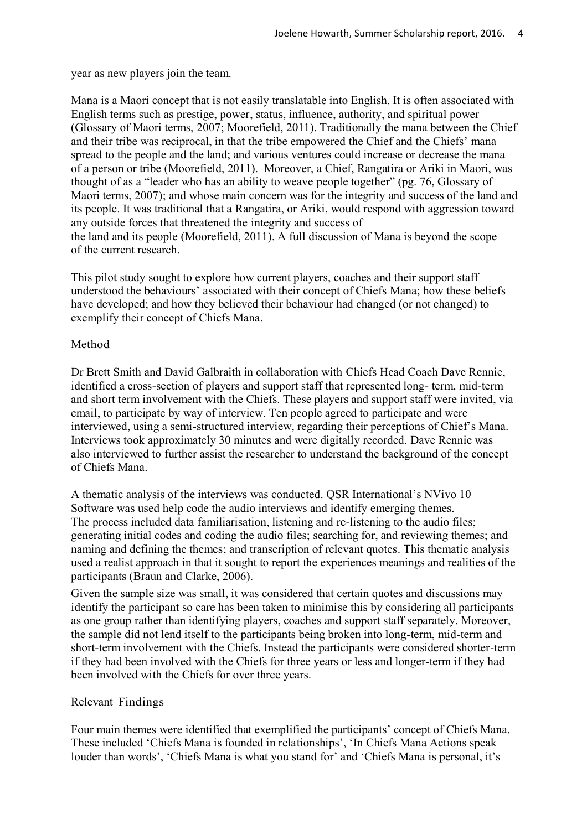year as new players join the team.

Mana is a Maori concept that is not easily translatable into English. It is often associated with English terms such as prestige, power, status, influence, authority, and spiritual power (Glossary of Maori terms, 2007; Moorefield, 2011). Traditionally the mana between the Chief and their tribe was reciprocal, in that the tribe empowered the Chief and the Chiefs' mana spread to the people and the land; and various ventures could increase or decrease the mana of a person or tribe (Moorefield, 2011). Moreover, a Chief, Rangatira or Ariki in Maori, was thought of as a "leader who has an ability to weave people together" (pg. 76, Glossary of Maori terms, 2007); and whose main concern was for the integrity and success of the land and its people. It was traditional that a Rangatira, or Ariki, would respond with aggression toward any outside forces that threatened the integrity and success of the land and its people (Moorefield, 2011). A full discussion of Mana is beyond the scope of the current research.

This pilot study sought to explore how current players, coaches and their support staff understood the behaviours' associated with their concept of Chiefs Mana; how these beliefs have developed; and how they believed their behaviour had changed (or not changed) to exemplify their concept of Chiefs Mana.

# Method

Dr Brett Smith and David Galbraith in collaboration with Chiefs Head Coach Dave Rennie, identified a cross-section of players and support staff that represented long- term, mid-term and short term involvement with the Chiefs. These players and support staff were invited, via email, to participate by way of interview. Ten people agreed to participate and were interviewed, using a semi-structured interview, regarding their perceptions of Chief's Mana. Interviews took approximately 30 minutes and were digitally recorded. Dave Rennie was also interviewed to further assist the researcher to understand the background of the concept of Chiefs Mana.

A thematic analysis of the interviews was conducted. QSR International's NVivo 10 Software was used help code the audio interviews and identify emerging themes. The process included data familiarisation, listening and re-listening to the audio files; generating initial codes and coding the audio files; searching for, and reviewing themes; and naming and defining the themes; and transcription of relevant quotes. This thematic analysis used a realist approach in that it sought to report the experiences meanings and realities of the participants (Braun and Clarke, 2006).

Given the sample size was small, it was considered that certain quotes and discussions may identify the participant so care has been taken to minimise this by considering all participants as one group rather than identifying players, coaches and support staff separately. Moreover, the sample did not lend itself to the participants being broken into long-term, mid-term and short-term involvement with the Chiefs. Instead the participants were considered shorter-term if they had been involved with the Chiefs for three years or less and longer-term if they had been involved with the Chiefs for over three years.

# Relevant Findings

Four main themes were identified that exemplified the participants' concept of Chiefs Mana. These included 'Chiefs Mana is founded in relationships', 'In Chiefs Mana Actions speak louder than words', 'Chiefs Mana is what you stand for' and 'Chiefs Mana is personal, it's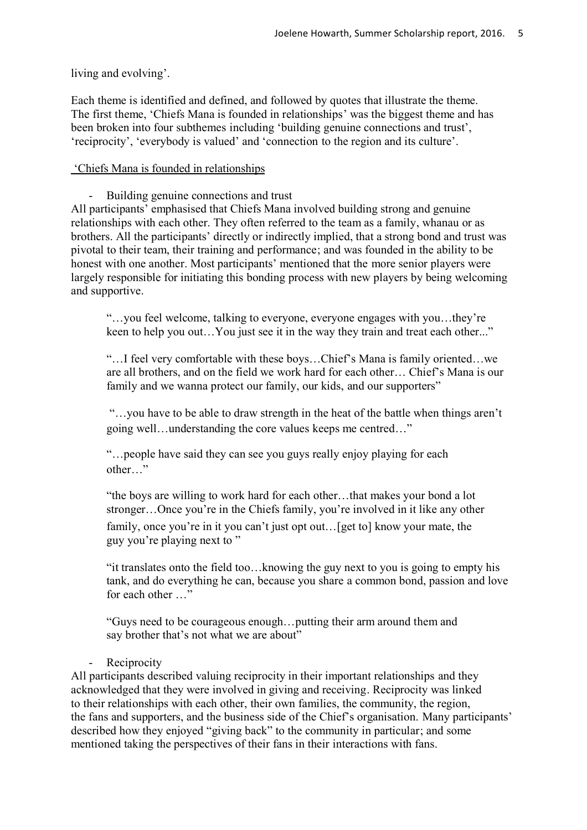living and evolving'.

Each theme is identified and defined, and followed by quotes that illustrate the theme. The first theme, 'Chiefs Mana is founded in relationships' was the biggest theme and has been broken into four subthemes including 'building genuine connections and trust', 'reciprocity', 'everybody is valued' and 'connection to the region and its culture'.

# 'Chiefs Mana is founded in relationships

- Building genuine connections and trust

All participants' emphasised that Chiefs Mana involved building strong and genuine relationships with each other. They often referred to the team as a family, whanau or as brothers. All the participants' directly or indirectly implied, that a strong bond and trust was pivotal to their team, their training and performance; and was founded in the ability to be honest with one another. Most participants' mentioned that the more senior players were largely responsible for initiating this bonding process with new players by being welcoming and supportive.

"…you feel welcome, talking to everyone, everyone engages with you…they're keen to help you out...You just see it in the way they train and treat each other..."

"…I feel very comfortable with these boys…Chief's Mana is family oriented…we are all brothers, and on the field we work hard for each other… Chief's Mana is our family and we wanna protect our family, our kids, and our supporters"

"…you have to be able to draw strength in the heat of the battle when things aren't going well…understanding the core values keeps me centred…"

"…people have said they can see you guys really enjoy playing for each other…"

"the boys are willing to work hard for each other…that makes your bond a lot stronger…Once you're in the Chiefs family, you're involved in it like any other family, once you're in it you can't just opt out... [get to] know your mate, the guy you're playing next to "

"it translates onto the field too…knowing the guy next to you is going to empty his tank, and do everything he can, because you share a common bond, passion and love for each other …"

"Guys need to be courageous enough…putting their arm around them and say brother that's not what we are about"

**Reciprocity** 

All participants described valuing reciprocity in their important relationships and they acknowledged that they were involved in giving and receiving. Reciprocity was linked to their relationships with each other, their own families, the community, the region, the fans and supporters, and the business side of the Chief's organisation. Many participants' described how they enjoyed "giving back" to the community in particular; and some mentioned taking the perspectives of their fans in their interactions with fans.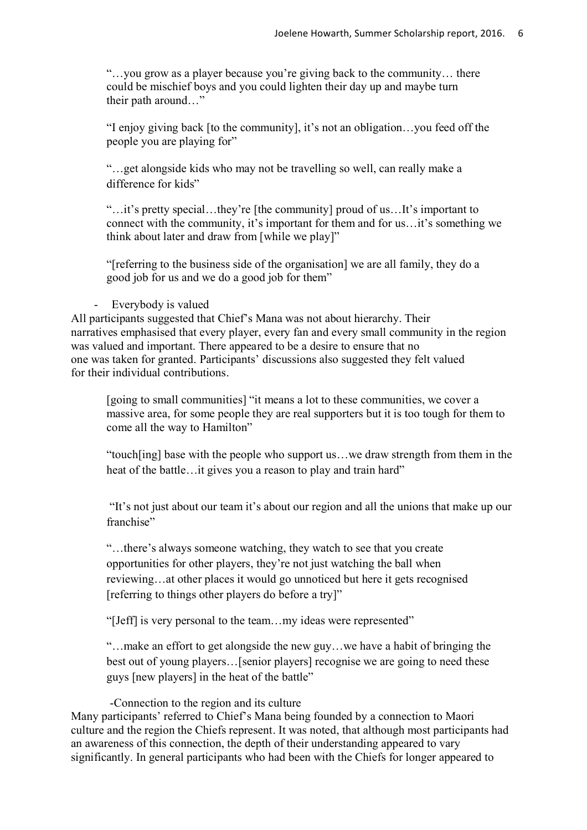"…you grow as a player because you're giving back to the community… there could be mischief boys and you could lighten their day up and maybe turn their path around…"

"I enjoy giving back [to the community], it's not an obligation…you feed off the people you are playing for"

"…get alongside kids who may not be travelling so well, can really make a difference for kids"

"…it's pretty special…they're [the community] proud of us…It's important to connect with the community, it's important for them and for us…it's something we think about later and draw from [while we play]"

"[referring to the business side of the organisation] we are all family, they do a good job for us and we do a good job for them"

#### - Everybody is valued

All participants suggested that Chief's Mana was not about hierarchy. Their narratives emphasised that every player, every fan and every small community in the region was valued and important. There appeared to be a desire to ensure that no one was taken for granted. Participants' discussions also suggested they felt valued for their individual contributions.

[going to small communities] "it means a lot to these communities, we cover a massive area, for some people they are real supporters but it is too tough for them to come all the way to Hamilton"

"touch[ing] base with the people who support us…we draw strength from them in the heat of the battle…it gives you a reason to play and train hard"

"It's not just about our team it's about our region and all the unions that make up our franchise"

"…there's always someone watching, they watch to see that you create opportunities for other players, they're not just watching the ball when reviewing…at other places it would go unnoticed but here it gets recognised [referring to things other players do before a try]"

"[Jeff] is very personal to the team…my ideas were represented"

"…make an effort to get alongside the new guy…we have a habit of bringing the best out of young players…[senior players] recognise we are going to need these guys [new players] in the heat of the battle"

-Connection to the region and its culture

Many participants' referred to Chief's Mana being founded by a connection to Maori culture and the region the Chiefs represent. It was noted, that although most participants had an awareness of this connection, the depth of their understanding appeared to vary significantly. In general participants who had been with the Chiefs for longer appeared to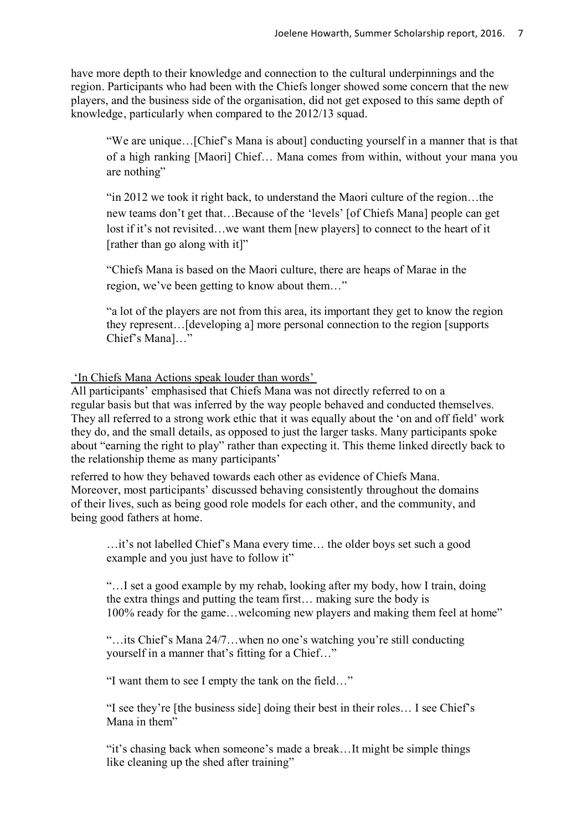have more depth to their knowledge and connection to the cultural underpinnings and the region. Participants who had been with the Chiefs longer showed some concern that the new players, and the business side of the organisation, did not get exposed to this same depth of knowledge, particularly when compared to the 2012/13 squad.

"We are unique…[Chief's Mana is about] conducting yourself in a manner that is that of a high ranking [Maori] Chief… Mana comes from within, without your mana you are nothing"

"in 2012 we took it right back, to understand the Maori culture of the region…the new teams don't get that…Because of the 'levels' [of Chiefs Mana] people can get lost if it's not revisited…we want them [new players] to connect to the heart of it [rather than go along with it]"

"Chiefs Mana is based on the Maori culture, there are heaps of Marae in the region, we've been getting to know about them…"

"a lot of the players are not from this area, its important they get to know the region they represent…[developing a] more personal connection to the region [supports Chief's Mana]…"

# 'In Chiefs Mana Actions speak louder than words'

All participants' emphasised that Chiefs Mana was not directly referred to on a regular basis but that was inferred by the way people behaved and conducted themselves. They all referred to a strong work ethic that it was equally about the 'on and off field' work they do, and the small details, as opposed to just the larger tasks. Many participants spoke about "earning the right to play" rather than expecting it. This theme linked directly back to the relationship theme as many participants'

referred to how they behaved towards each other as evidence of Chiefs Mana. Moreover, most participants' discussed behaving consistently throughout the domains of their lives, such as being good role models for each other, and the community, and being good fathers at home.

…it's not labelled Chief's Mana every time… the older boys set such a good example and you just have to follow it"

"…I set a good example by my rehab, looking after my body, how I train, doing the extra things and putting the team first… making sure the body is 100% ready for the game…welcoming new players and making them feel at home"

"…its Chief's Mana 24/7…when no one's watching you're still conducting yourself in a manner that's fitting for a Chief…"

"I want them to see I empty the tank on the field…"

"I see they're [the business side] doing their best in their roles… I see Chief's Mana in them"

"it's chasing back when someone's made a break…It might be simple things like cleaning up the shed after training"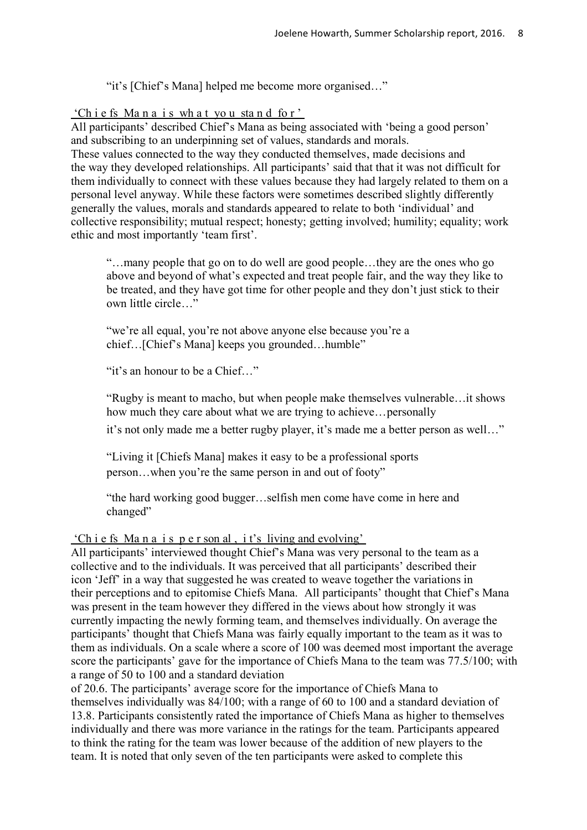"it's [Chief's Mana] helped me become more organised…"

## 'Ch i e fs Ma n a i s wh a t yo u sta n d fo r '

All participants' described Chief's Mana as being associated with 'being a good person' and subscribing to an underpinning set of values, standards and morals. These values connected to the way they conducted themselves, made decisions and the way they developed relationships. All participants' said that that it was not difficult for them individually to connect with these values because they had largely related to them on a personal level anyway. While these factors were sometimes described slightly differently generally the values, morals and standards appeared to relate to both 'individual' and collective responsibility; mutual respect; honesty; getting involved; humility; equality; work ethic and most importantly 'team first'.

"…many people that go on to do well are good people…they are the ones who go above and beyond of what's expected and treat people fair, and the way they like to be treated, and they have got time for other people and they don't just stick to their own little circle…"

"we're all equal, you're not above anyone else because you're a chief…[Chief's Mana] keeps you grounded…humble"

"it's an honour to be a Chief<sup>"</sup>

"Rugby is meant to macho, but when people make themselves vulnerable…it shows how much they care about what we are trying to achieve…personally

it's not only made me a better rugby player, it's made me a better person as well…"

"Living it [Chiefs Mana] makes it easy to be a professional sports person…when you're the same person in and out of footy"

"the hard working good bugger…selfish men come have come in here and changed"

'Ch i e fs Ma n a i s p e r son al , i t's living and evolving'

All participants' interviewed thought Chief's Mana was very personal to the team as a collective and to the individuals. It was perceived that all participants' described their icon 'Jeff' in a way that suggested he was created to weave together the variations in their perceptions and to epitomise Chiefs Mana. All participants' thought that Chief's Mana was present in the team however they differed in the views about how strongly it was currently impacting the newly forming team, and themselves individually. On average the participants' thought that Chiefs Mana was fairly equally important to the team as it was to them as individuals. On a scale where a score of 100 was deemed most important the average score the participants' gave for the importance of Chiefs Mana to the team was 77.5/100; with a range of 50 to 100 and a standard deviation

of 20.6. The participants' average score for the importance of Chiefs Mana to themselves individually was 84/100; with a range of 60 to 100 and a standard deviation of 13.8. Participants consistently rated the importance of Chiefs Mana as higher to themselves individually and there was more variance in the ratings for the team. Participants appeared to think the rating for the team was lower because of the addition of new players to the team. It is noted that only seven of the ten participants were asked to complete this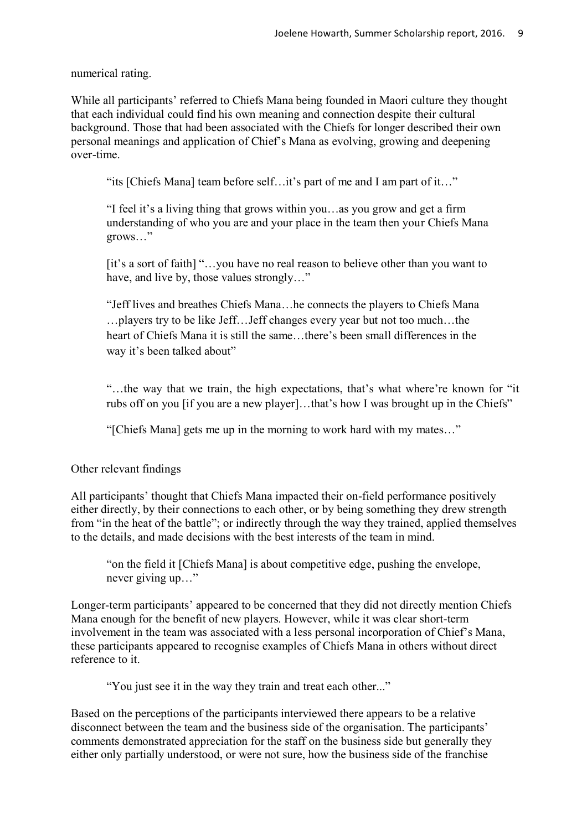numerical rating.

While all participants' referred to Chiefs Mana being founded in Maori culture they thought that each individual could find his own meaning and connection despite their cultural background. Those that had been associated with the Chiefs for longer described their own personal meanings and application of Chief's Mana as evolving, growing and deepening over-time.

"its [Chiefs Mana] team before self…it's part of me and I am part of it…"

"I feel it's a living thing that grows within you…as you grow and get a firm understanding of who you are and your place in the team then your Chiefs Mana grows…"

[it's a sort of faith] "…you have no real reason to believe other than you want to have, and live by, those values strongly…"

"Jeff lives and breathes Chiefs Mana…he connects the players to Chiefs Mana …players try to be like Jeff…Jeff changes every year but not too much…the heart of Chiefs Mana it is still the same…there's been small differences in the way it's been talked about"

"…the way that we train, the high expectations, that's what where're known for "it rubs off on you [if you are a new player]…that's how I was brought up in the Chiefs"

"[Chiefs Mana] gets me up in the morning to work hard with my mates…"

Other relevant findings

All participants' thought that Chiefs Mana impacted their on-field performance positively either directly, by their connections to each other, or by being something they drew strength from "in the heat of the battle"; or indirectly through the way they trained, applied themselves to the details, and made decisions with the best interests of the team in mind.

"on the field it [Chiefs Mana] is about competitive edge, pushing the envelope, never giving up…"

Longer-term participants' appeared to be concerned that they did not directly mention Chiefs Mana enough for the benefit of new players. However, while it was clear short-term involvement in the team was associated with a less personal incorporation of Chief's Mana, these participants appeared to recognise examples of Chiefs Mana in others without direct reference to it.

"You just see it in the way they train and treat each other..."

Based on the perceptions of the participants interviewed there appears to be a relative disconnect between the team and the business side of the organisation. The participants' comments demonstrated appreciation for the staff on the business side but generally they either only partially understood, or were not sure, how the business side of the franchise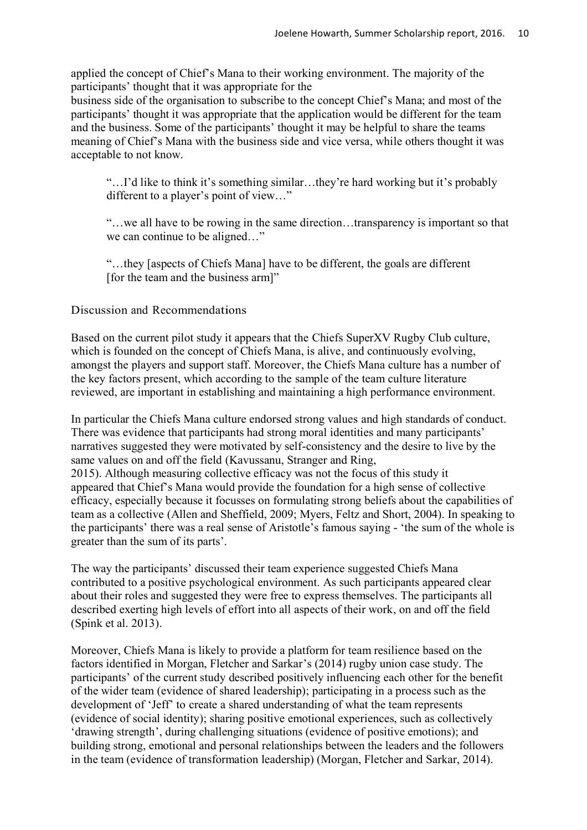applied the concept of Chief's Mana to their working environment. The majority of the participants' thought that it was appropriate for the

business side of the organisation to subscribe to the concept Chief's Mana; and most of the participants' thought it was appropriate that the application would be different for the team and the business. Some of the participants' thought it may be helpful to share the teams meaning of Chief's Mana with the business side and vice versa, while others thought it was acceptable to not know.

"…I'd like to think it's something similar…they're hard working but it's probably different to a player's point of view…"

"…we all have to be rowing in the same direction…transparency is important so that we can continue to be aligned…"

"…they [aspects of Chiefs Mana] have to be different, the goals are different [for the team and the business arm]"

## Discussion and Recommendations

Based on the current pilot study it appears that the Chiefs SuperXV Rugby Club culture, which is founded on the concept of Chiefs Mana, is alive, and continuously evolving. amongst the players and support staff. Moreover, the Chiefs Mana culture has a number of the key factors present, which according to the sample of the team culture literature reviewed, are important in establishing and maintaining a high performance environment.

In particular the Chiefs Mana culture endorsed strong values and high standards of conduct. There was evidence that participants had strong moral identities and many participants' narratives suggested they were motivated by self-consistency and the desire to live by the same values on and off the field (Kavussanu, Stranger and Ring, 2015). Although measuring collective efficacy was not the focus of this study it appeared that Chief's Mana would provide the foundation for a high sense of collective efficacy, especially because it focusses on formulating strong beliefs about the capabilities of team as a collective (Allen and Sheffield, 2009; Myers, Feltz and Short, 2004). In speaking to the participants' there was a real sense of Aristotle's famous saying - 'the sum of the whole is greater than the sum of its parts'.

The way the participants' discussed their team experience suggested Chiefs Mana contributed to a positive psychological environment. As such participants appeared clear about their roles and suggested they were free to express themselves. The participants all described exerting high levels of effort into all aspects of their work, on and off the field (Spink et al. 2013).

Moreover, Chiefs Mana is likely to provide a platform for team resilience based on the factors identified in Morgan, Fletcher and Sarkar's (2014) rugby union case study. The participants' of the current study described positively influencing each other for the benefit of the wider team (evidence of shared leadership); participating in a process such as the development of 'Jeff' to create a shared understanding of what the team represents (evidence of social identity); sharing positive emotional experiences, such as collectively 'drawing strength', during challenging situations (evidence of positive emotions); and building strong, emotional and personal relationships between the leaders and the followers in the team (evidence of transformation leadership) (Morgan, Fletcher and Sarkar, 2014).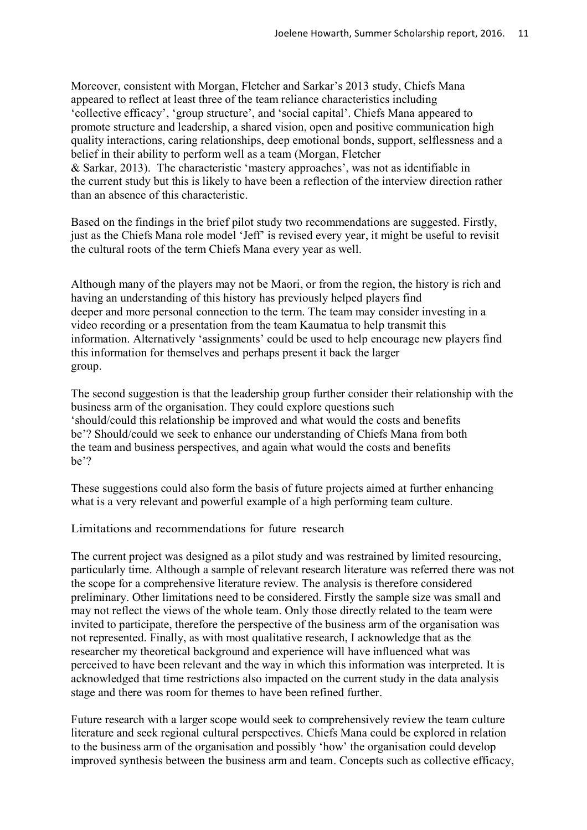Moreover, consistent with Morgan, Fletcher and Sarkar's 2013 study, Chiefs Mana appeared to reflect at least three of the team reliance characteristics including 'collective efficacy', 'group structure', and 'social capital'. Chiefs Mana appeared to promote structure and leadership, a shared vision, open and positive communication high quality interactions, caring relationships, deep emotional bonds, support, selflessness and a belief in their ability to perform well as a team (Morgan, Fletcher & Sarkar, 2013). The characteristic 'mastery approaches', was not as identifiable in the current study but this is likely to have been a reflection of the interview direction rather than an absence of this characteristic.

Based on the findings in the brief pilot study two recommendations are suggested. Firstly, just as the Chiefs Mana role model 'Jeff' is revised every year, it might be useful to revisit the cultural roots of the term Chiefs Mana every year as well.

Although many of the players may not be Maori, or from the region, the history is rich and having an understanding of this history has previously helped players find deeper and more personal connection to the term. The team may consider investing in a video recording or a presentation from the team Kaumatua to help transmit this information. Alternatively 'assignments' could be used to help encourage new players find this information for themselves and perhaps present it back the larger group.

The second suggestion is that the leadership group further consider their relationship with the business arm of the organisation. They could explore questions such 'should/could this relationship be improved and what would the costs and benefits be'? Should/could we seek to enhance our understanding of Chiefs Mana from both the team and business perspectives, and again what would the costs and benefits be'?

These suggestions could also form the basis of future projects aimed at further enhancing what is a very relevant and powerful example of a high performing team culture.

Limitations and recommendations for future research

The current project was designed as a pilot study and was restrained by limited resourcing, particularly time. Although a sample of relevant research literature was referred there was not the scope for a comprehensive literature review. The analysis is therefore considered preliminary. Other limitations need to be considered. Firstly the sample size was small and may not reflect the views of the whole team. Only those directly related to the team were invited to participate, therefore the perspective of the business arm of the organisation was not represented. Finally, as with most qualitative research, I acknowledge that as the researcher my theoretical background and experience will have influenced what was perceived to have been relevant and the way in which this information was interpreted. It is acknowledged that time restrictions also impacted on the current study in the data analysis stage and there was room for themes to have been refined further.

Future research with a larger scope would seek to comprehensively review the team culture literature and seek regional cultural perspectives. Chiefs Mana could be explored in relation to the business arm of the organisation and possibly 'how' the organisation could develop improved synthesis between the business arm and team. Concepts such as collective efficacy,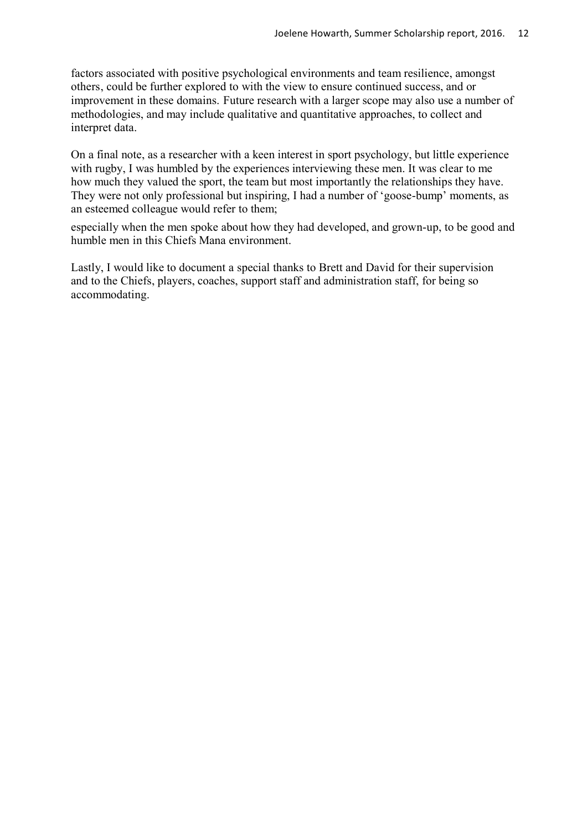factors associated with positive psychological environments and team resilience, amongst others, could be further explored to with the view to ensure continued success, and or improvement in these domains. Future research with a larger scope may also use a number of methodologies, and may include qualitative and quantitative approaches, to collect and interpret data.

On a final note, as a researcher with a keen interest in sport psychology, but little experience with rugby. I was humbled by the experiences interviewing these men. It was clear to me how much they valued the sport, the team but most importantly the relationships they have. They were not only professional but inspiring, I had a number of 'goose-bump' moments, as an esteemed colleague would refer to them;

especially when the men spoke about how they had developed, and grown-up, to be good and humble men in this Chiefs Mana environment.

Lastly, I would like to document a special thanks to Brett and David for their supervision and to the Chiefs, players, coaches, support staff and administration staff, for being so accommodating.